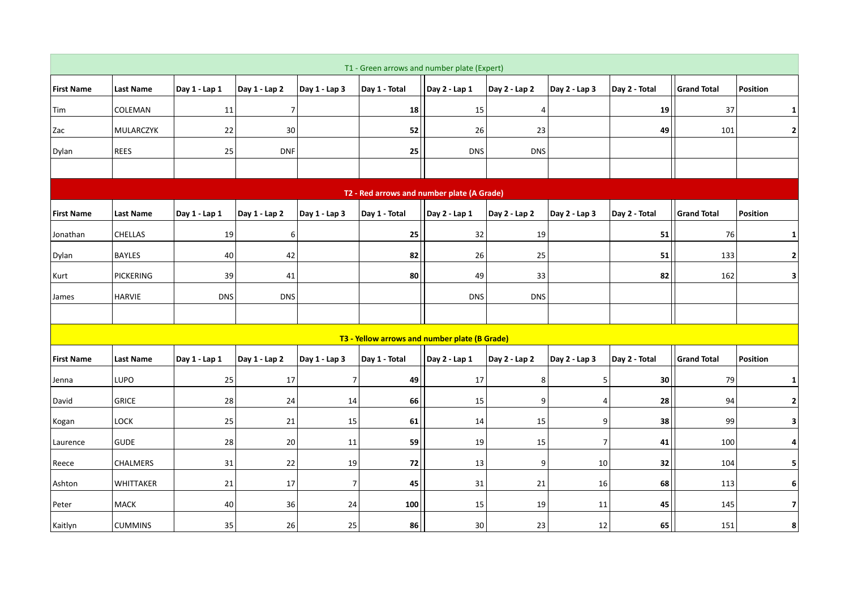| T1 - Green arrows and number plate (Expert) |                  |               |                       |                |                                               |                       |               |                |               |                    |                         |  |  |
|---------------------------------------------|------------------|---------------|-----------------------|----------------|-----------------------------------------------|-----------------------|---------------|----------------|---------------|--------------------|-------------------------|--|--|
| <b>First Name</b>                           | <b>Last Name</b> | Day 1 - Lap 1 | $\vert$ Day 1 - Lap 2 | Day 1 - Lap 3  | Day 1 - Total                                 | $\vert$ Day 2 - Lap 1 | Day 2 - Lap 2 | Day 2 - Lap 3  | Day 2 - Total | <b>Grand Total</b> | Position                |  |  |
| Tim                                         | COLEMAN          | 11            | $\overline{7}$        |                | 18                                            | 15                    | 4             |                | 19            | 37                 | 1                       |  |  |
| Zac                                         | MULARCZYK        | 22            | 30                    |                | 52                                            | 26                    | 23            |                | 49            | 101                | $\overline{2}$          |  |  |
| Dylan                                       | <b>REES</b>      | 25            | <b>DNF</b>            |                | 25                                            | <b>DNS</b>            | <b>DNS</b>    |                |               |                    |                         |  |  |
|                                             |                  |               |                       |                |                                               |                       |               |                |               |                    |                         |  |  |
| T2 - Red arrows and number plate (A Grade)  |                  |               |                       |                |                                               |                       |               |                |               |                    |                         |  |  |
| <b>First Name</b>                           | <b>Last Name</b> | Day 1 - Lap 1 | Day 1 - Lap 2         | Day 1 - Lap 3  | Day 1 - Total                                 | Day $2$ - Lap $1$     | Day 2 - Lap 2 | Day 2 - Lap 3  | Day 2 - Total | <b>Grand Total</b> | <b>Position</b>         |  |  |
| Jonathan                                    | <b>CHELLAS</b>   | 19            | 6                     |                | 25                                            | 32                    | 19            |                | 51            | 76                 | $\mathbf{1}$            |  |  |
| Dylan                                       | <b>BAYLES</b>    | 40            | 42                    |                | 82                                            | 26                    | 25            |                | 51            | 133                | $\overline{2}$          |  |  |
| Kurt                                        | PICKERING        | 39            | 41                    |                | 80                                            | 49                    | 33            |                | 82            | 162                | $\overline{\mathbf{3}}$ |  |  |
| James                                       | <b>HARVIE</b>    | <b>DNS</b>    | <b>DNS</b>            |                |                                               | <b>DNS</b>            | <b>DNS</b>    |                |               |                    |                         |  |  |
|                                             |                  |               |                       |                |                                               |                       |               |                |               |                    |                         |  |  |
|                                             |                  |               |                       |                | T3 - Yellow arrows and number plate (B Grade) |                       |               |                |               |                    |                         |  |  |
| <b>First Name</b>                           | Last Name        | Day 1 - Lap 1 | Day 1 - Lap 2         | Day 1 - Lap 3  | Day 1 - Total                                 | Day 2 - Lap 1         | Day 2 - Lap 2 | Day 2 - Lap 3  | Day 2 - Total | <b>Grand Total</b> | Position                |  |  |
| Jenna                                       | LUPO             | 25            | 17                    | $\overline{7}$ | 49                                            | 17                    | 8             | 5 <sub>1</sub> | 30            | 79                 | $\mathbf{1}$            |  |  |
| David                                       | <b>GRICE</b>     | 28            | 24                    | 14             | 66                                            | 15                    | 9             | 4              | 28            | 94                 | $\mathbf{2}$            |  |  |
| Kogan                                       | <b>LOCK</b>      | 25            | 21                    | 15             | 61                                            | 14                    | 15            | 9              | 38            | 99                 | $\overline{\mathbf{3}}$ |  |  |
| Laurence                                    | <b>GUDE</b>      | 28            | 20                    | 11             | 59                                            | 19                    | 15            | $\overline{7}$ | 41            | 100                | $\overline{a}$          |  |  |
| Reece                                       | <b>CHALMERS</b>  | 31            | 22                    | 19             | 72                                            | 13                    | 9             | 10             | 32            | 104                | 5                       |  |  |
| Ashton                                      | <b>WHITTAKER</b> | 21            | 17                    | $\overline{7}$ | 45                                            | 31                    | 21            | 16             | 68            | 113                | 6                       |  |  |
| Peter                                       | MACK             | 40            | 36                    | 24             | 100                                           | 15                    | 19            | 11             | 45            | 145                | 7 <sup>1</sup>          |  |  |
| Kaitlyn                                     | <b>CUMMINS</b>   | 35            | 26                    | 25             | 86                                            | 30                    | 23            | 12             | 65            | 151                | 8                       |  |  |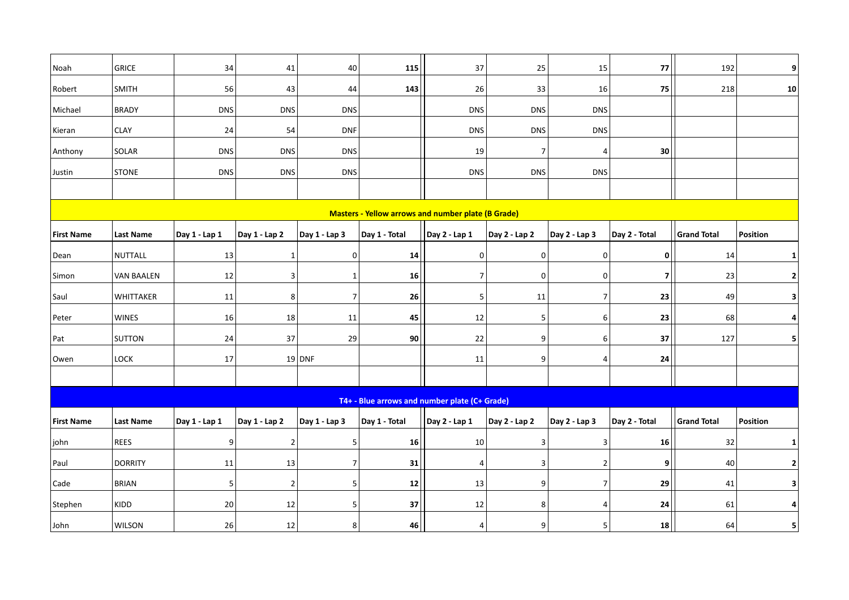| Noah                                                      | GRICE                                         | 34                    | 41                    | 40                    | 115           | 37             | 25                    | 15             | 77             | 192                | 9                       |  |  |  |  |
|-----------------------------------------------------------|-----------------------------------------------|-----------------------|-----------------------|-----------------------|---------------|----------------|-----------------------|----------------|----------------|--------------------|-------------------------|--|--|--|--|
| Robert                                                    | SMITH                                         | 56                    | 43                    | 44                    | 143           | 26             | 33                    | 16             | 75             | 218                | ${\bf 10}$              |  |  |  |  |
| Michael                                                   | <b>BRADY</b>                                  | <b>DNS</b>            | <b>DNS</b>            | <b>DNS</b>            |               | <b>DNS</b>     | <b>DNS</b>            | <b>DNS</b>     |                |                    |                         |  |  |  |  |
| Kieran                                                    | <b>CLAY</b>                                   | 24                    | 54                    | <b>DNF</b>            |               | <b>DNS</b>     | <b>DNS</b>            | <b>DNS</b>     |                |                    |                         |  |  |  |  |
| Anthony                                                   | SOLAR                                         | <b>DNS</b>            | <b>DNS</b>            | <b>DNS</b>            |               | 19             | $\overline{7}$        | 4              | 30             |                    |                         |  |  |  |  |
| Justin                                                    | <b>STONE</b>                                  | <b>DNS</b>            | <b>DNS</b>            | <b>DNS</b>            |               | <b>DNS</b>     | <b>DNS</b>            | <b>DNS</b>     |                |                    |                         |  |  |  |  |
|                                                           |                                               |                       |                       |                       |               |                |                       |                |                |                    |                         |  |  |  |  |
| <b>Masters - Yellow arrows and number plate (B Grade)</b> |                                               |                       |                       |                       |               |                |                       |                |                |                    |                         |  |  |  |  |
| <b>First Name</b>                                         | <b>Last Name</b>                              | $\vert$ Day 1 - Lap 1 | $\vert$ Day 1 - Lap 2 | $\vert$ Day 1 - Lap 3 | Day 1 - Total | Day 2 - Lap 1  | $\vert$ Day 2 - Lap 2 | Day 2 - Lap 3  | Day 2 - Total  | <b>Grand Total</b> | <b>Position</b>         |  |  |  |  |
| Dean                                                      | NUTTALL                                       | 13                    | $\mathbf{1}$          | 0                     | 14            | 0              | 0                     | 0              | 0              | 14                 | 1                       |  |  |  |  |
| Simon                                                     | <b>VAN BAALEN</b>                             | 12                    | 3                     | $\mathbf{1}$          | 16            | $\overline{7}$ | $\overline{0}$        | 0              | $\overline{7}$ | 23                 | $\overline{\mathbf{2}}$ |  |  |  |  |
| Saul                                                      | <b>WHITTAKER</b>                              | 11                    | 8                     | $\overline{7}$        | 26            | 5              | 11                    | $\overline{7}$ | 23             | 49                 | 3                       |  |  |  |  |
| Peter                                                     | <b>WINES</b>                                  | 16                    | 18                    | 11                    | 45            | 12             | 5 <sup>1</sup>        | $6\vert$       | 23             | 68                 | 4                       |  |  |  |  |
| Pat                                                       | <b>SUTTON</b>                                 | 24                    | 37                    | 29                    | 90            | 22             | 9                     | $6\vert$       | 37             | 127                | 5                       |  |  |  |  |
| Owen                                                      | LOCK                                          | 17                    |                       | $19$ DNF              |               | 11             | $\overline{9}$        | $\overline{a}$ | 24             |                    |                         |  |  |  |  |
|                                                           |                                               |                       |                       |                       |               |                |                       |                |                |                    |                         |  |  |  |  |
|                                                           | T4+ - Blue arrows and number plate (C+ Grade) |                       |                       |                       |               |                |                       |                |                |                    |                         |  |  |  |  |
| <b>First Name</b>                                         | <b>Last Name</b>                              | Day 1 - Lap 1         | Day 1 - Lap 2         | Day 1 - Lap 3         | Day 1 - Total | Day 2 - Lap 1  | $\vert$ Day 2 - Lap 2 | Day 2 - Lap 3  | Day 2 - Total  | <b>Grand Total</b> | Position                |  |  |  |  |
| john                                                      | <b>REES</b>                                   | 9                     | $\overline{2}$        | 5 <sub>l</sub>        | 16            | 10             | 3                     | 3              | 16             | 32                 | 1                       |  |  |  |  |
| Paul                                                      | <b>DORRITY</b>                                | 11                    | 13                    | $7 \overline{ }$      | 31            | 4              | 3                     | $\overline{2}$ | 9              | 40                 | $\overline{\mathbf{2}}$ |  |  |  |  |
| Cade                                                      | <b>BRIAN</b>                                  | 5                     | 2                     | 5                     | 12            | 13             | 9                     | $\overline{7}$ | 29             | 41                 | 3                       |  |  |  |  |
| Stephen                                                   | KIDD                                          | 20                    | 12                    | 5 <sub>5</sub>        | 37            | 12             | 8                     | 4              | 24             | 61                 | 4                       |  |  |  |  |
| John                                                      | <b>WILSON</b>                                 | 26                    | 12                    | 8 <sup>1</sup>        | 46            | $\overline{4}$ | 9                     | 5              | 18             | 64                 | 5                       |  |  |  |  |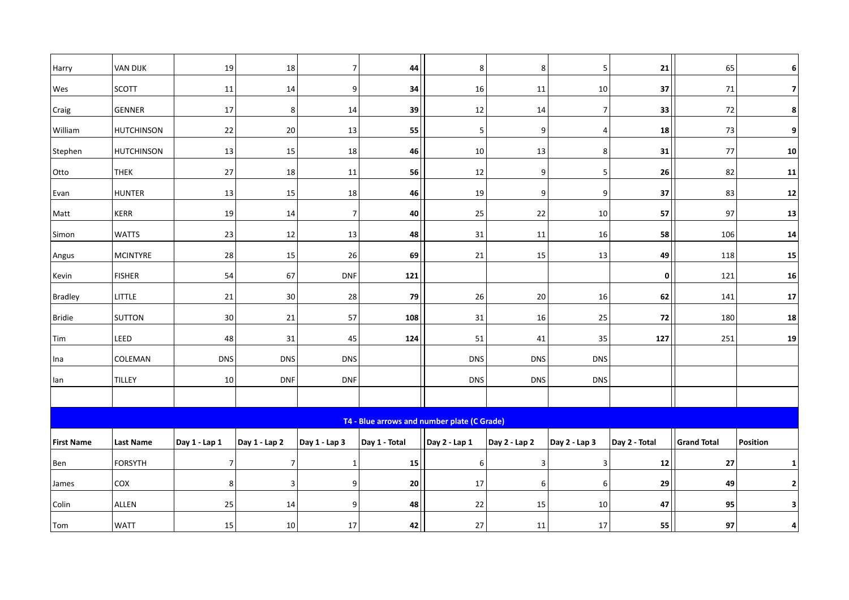| Harry             | <b>VAN DIJK</b>   | 19             | 18             | $\overline{7}$ | 44            | 8                                           | $\,8\,$          | 5             | 21            | 65                 | $6 \mid$       |
|-------------------|-------------------|----------------|----------------|----------------|---------------|---------------------------------------------|------------------|---------------|---------------|--------------------|----------------|
| Wes               | <b>SCOTT</b>      | 11             | 14             | 9              | 34            | 16                                          | 11               | 10            | 37            | 71                 | $\overline{7}$ |
| Craig             | <b>GENNER</b>     | 17             | 8              | 14             | 39            | 12                                          | 14               | 7             | 33            | 72                 | 8              |
| William           | <b>HUTCHINSON</b> | 22             | 20             | 13             | 55            | 5                                           | 9                | 4             | 18            | 73                 | 9              |
| Stephen           | <b>HUTCHINSON</b> | 13             | 15             | 18             | 46            | 10                                          | 13               | 8             | 31            | 77                 | ${\bf 10}$     |
| Otto              | <b>THEK</b>       | $27$           | 18             | 11             | 56            | 12                                          | $\boldsymbol{9}$ | 5             | 26            | 82                 | 11             |
| Evan              | <b>HUNTER</b>     | 13             | 15             | 18             | 46            | 19                                          | 9                | 9             | 37            | 83                 | 12             |
| Matt              | KERR              | 19             | 14             | $\overline{7}$ | 40            | 25                                          | 22               | 10            | 57            | 97                 | 13             |
| Simon             | <b>WATTS</b>      | 23             | 12             | 13             | 48            | 31                                          | 11               | 16            | 58            | 106                | 14             |
| Angus             | <b>MCINTYRE</b>   | 28             | 15             | 26             | 69            | 21                                          | 15               | 13            | 49            | 118                | 15             |
| Kevin             | <b>FISHER</b>     | 54             | 67             | <b>DNF</b>     | 121           |                                             |                  |               | 0             | 121                | ${\bf 16}$     |
| <b>Bradley</b>    | <b>LITTLE</b>     | 21             | 30             | 28             | 79            | 26                                          | 20               | 16            | 62            | 141                | 17             |
| Bridie            | <b>SUTTON</b>     | 30             | 21             | 57             | 108           | 31                                          | 16               | 25            | 72            | 180                | 18             |
| Tim               | LEED              | 48             | 31             | 45             | 124           | 51                                          | 41               | 35            | 127           | 251                | 19             |
| Ina               | COLEMAN           | <b>DNS</b>     | <b>DNS</b>     | <b>DNS</b>     |               | <b>DNS</b>                                  | <b>DNS</b>       | <b>DNS</b>    |               |                    |                |
| lan               | <b>TILLEY</b>     | 10             | <b>DNF</b>     | <b>DNF</b>     |               | <b>DNS</b>                                  | <b>DNS</b>       | <b>DNS</b>    |               |                    |                |
|                   |                   |                |                |                |               |                                             |                  |               |               |                    |                |
|                   |                   |                |                |                |               | T4 - Blue arrows and number plate (C Grade) |                  |               |               |                    |                |
| <b>First Name</b> | <b>Last Name</b>  | Day 1 - Lap 1  | Day 1 - Lap 2  | Day 1 - Lap 3  | Day 1 - Total | Day 2 - Lap 1                               | Day 2 - Lap 2    | Day 2 - Lap 3 | Day 2 - Total | <b>Grand Total</b> | Position       |
| Ben               | <b>FORSYTH</b>    | $\overline{7}$ | $\overline{7}$ | $\mathbf{1}$   | 15            | 6                                           | $\mathsf 3$      | 3             | 12            | 27                 | $\mathbf{1}$   |
| James             | COX               | 8              | 3              | 9              | 20            | 17                                          | 6                | 6             | 29            | 49                 | $\overline{2}$ |
| Colin             | ALLEN             | 25             | 14             | 9              | 48            | 22                                          | 15               | 10            | 47            | 95                 | 3              |
| Tom               | <b>WATT</b>       | 15             | 10             | 17             | 42            | 27                                          | 11               | 17            | 55            | 97                 | 4              |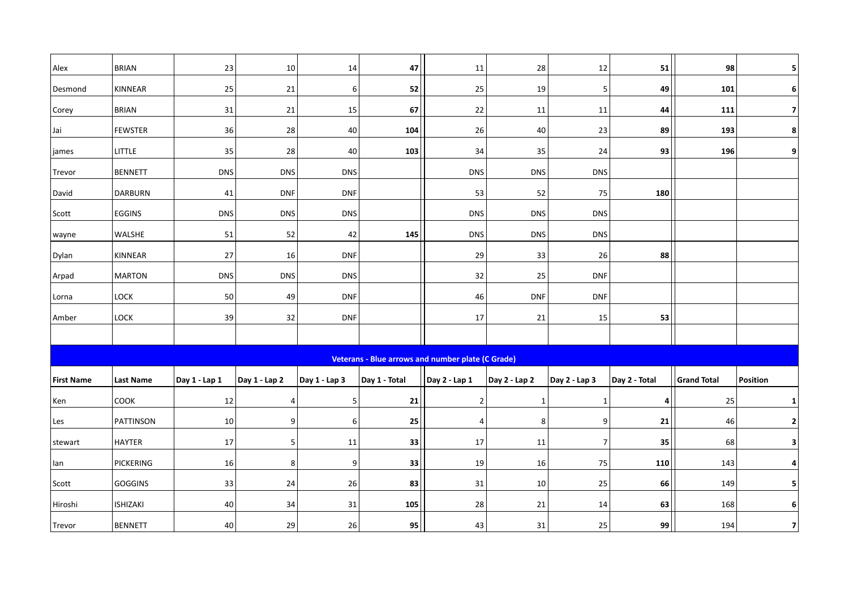| Alex              | <b>BRIAN</b>     | 23                    | 10                    | 14                    | 47                                                | 11                    | 28                    | 12            | 51            | 98                 | 5                       |
|-------------------|------------------|-----------------------|-----------------------|-----------------------|---------------------------------------------------|-----------------------|-----------------------|---------------|---------------|--------------------|-------------------------|
| Desmond           | KINNEAR          | 25                    | 21                    | $6 \mid$              | 52                                                | 25                    | 19                    | 5             | 49            | 101                | 6                       |
| Corey             | <b>BRIAN</b>     | 31                    | 21                    | 15                    | 67                                                | 22                    | 11                    | 11            | 44            | 111                | $\overline{\mathbf{z}}$ |
| Jai               | <b>FEWSTER</b>   | 36                    | 28                    | 40                    | 104                                               | 26                    | 40                    | 23            | 89            | 193                | 8                       |
| james             | LITTLE           | 35                    | 28                    | $40\,$                | 103                                               | 34                    | 35                    | 24            | 93            | 196                | 9                       |
| Trevor            | <b>BENNETT</b>   | <b>DNS</b>            | <b>DNS</b>            | <b>DNS</b>            |                                                   | <b>DNS</b>            | <b>DNS</b>            | <b>DNS</b>    |               |                    |                         |
| David             | DARBURN          | 41                    | <b>DNF</b>            | <b>DNF</b>            |                                                   | 53                    | 52                    | 75            | 180           |                    |                         |
| Scott             | <b>EGGINS</b>    | <b>DNS</b>            | <b>DNS</b>            | <b>DNS</b>            |                                                   | <b>DNS</b>            | <b>DNS</b>            | <b>DNS</b>    |               |                    |                         |
| wayne             | WALSHE           | 51                    | 52                    | 42                    | 145                                               | <b>DNS</b>            | <b>DNS</b>            | <b>DNS</b>    |               |                    |                         |
| Dylan             | KINNEAR          | 27                    | 16                    | <b>DNF</b>            |                                                   | 29                    | 33                    | 26            | 88            |                    |                         |
| Arpad             | <b>MARTON</b>    | <b>DNS</b>            | <b>DNS</b>            | <b>DNS</b>            |                                                   | 32                    | 25                    | <b>DNF</b>    |               |                    |                         |
| Lorna             | LOCK             | 50                    | 49                    | <b>DNF</b>            |                                                   | 46                    | <b>DNF</b>            | <b>DNF</b>    |               |                    |                         |
| Amber             | LOCK             | 39                    | 32                    | <b>DNF</b>            |                                                   | 17                    | 21                    | 15            | 53            |                    |                         |
|                   |                  |                       |                       |                       |                                                   |                       |                       |               |               |                    |                         |
|                   |                  |                       |                       |                       | Veterans - Blue arrows and number plate (C Grade) |                       |                       |               |               |                    |                         |
| <b>First Name</b> | <b>Last Name</b> | $\vert$ Day 1 - Lap 1 | $\vert$ Day 1 - Lap 2 | $\vert$ Day 1 - Lap 3 | Day 1 - Total                                     | $\vert$ Day 2 - Lap 1 | $\vert$ Day 2 - Lap 2 | Day 2 - Lap 3 | Day 2 - Total | <b>Grand Total</b> | <b>Position</b>         |
| Ken               | <b>COOK</b>      | 12                    | 4                     | $\mathbf{5}$          | 21                                                | $\overline{2}$        | 1                     | -1            | 4             | 25                 | 1                       |
| Les               | PATTINSON        | 10 <sup>°</sup>       | 9                     | $6 \mid$              | 25                                                | 4                     | 8                     | 9             | 21            | 46                 | $\overline{\mathbf{2}}$ |
| stewart           | <b>HAYTER</b>    | 17                    | 5                     | 11                    | 33                                                | 17                    | 11                    | 7             | 35            | 68                 | 3                       |
| lan               | PICKERING        | 16                    | 8                     | 9                     | 33                                                | 19                    | 16                    | 75            | 110           | 143                | 4                       |
| Scott             | GOGGINS          | 33                    | 24                    | 26                    | 83                                                | 31                    | 10                    | 25            | 66            | 149                | 5                       |
| Hiroshi           | <b>ISHIZAKI</b>  | 40                    | 34                    | $31\,$                | 105                                               | 28                    | 21                    | 14            | 63            | 168                | 6                       |
| Trevor            | <b>BENNETT</b>   | 40                    | 29                    | 26                    | 95                                                | 43                    | 31                    | 25            | 99            | 194                | $\boldsymbol{7}$        |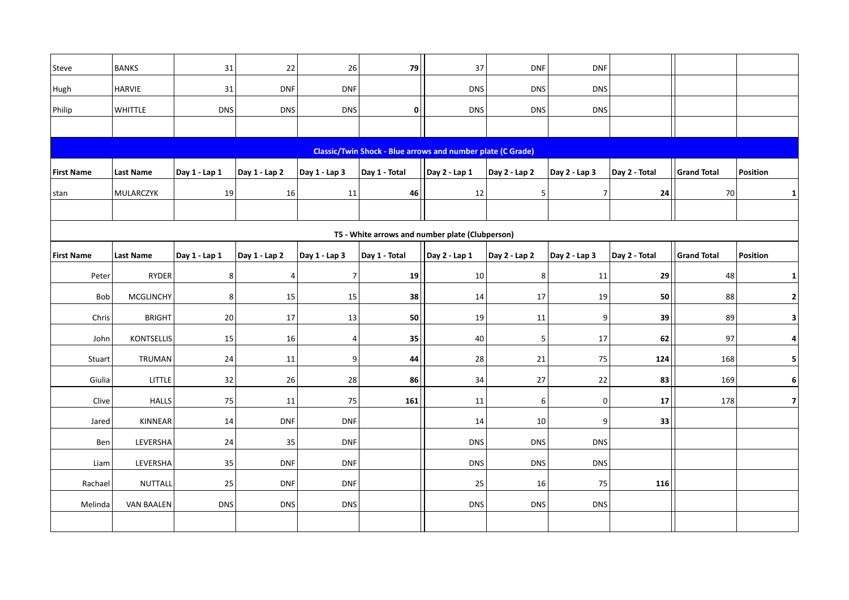| Steve                                                              | <b>BANKS</b>      | 31             | 22                    | 26                      | 79            | 37                                              | <b>DNF</b>     | <b>DNF</b>            |               |                    |                 |  |
|--------------------------------------------------------------------|-------------------|----------------|-----------------------|-------------------------|---------------|-------------------------------------------------|----------------|-----------------------|---------------|--------------------|-----------------|--|
| Hugh                                                               | <b>HARVIE</b>     | 31             | <b>DNF</b>            | <b>DNF</b>              |               | <b>DNS</b>                                      | <b>DNS</b>     | <b>DNS</b>            |               |                    |                 |  |
| Philip                                                             | WHITTLE           | <b>DNS</b>     | <b>DNS</b>            | <b>DNS</b>              | 0             | <b>DNS</b>                                      | <b>DNS</b>     | <b>DNS</b>            |               |                    |                 |  |
|                                                                    |                   |                |                       |                         |               |                                                 |                |                       |               |                    |                 |  |
| <b>Classic/Twin Shock - Blue arrows and number plate (C Grade)</b> |                   |                |                       |                         |               |                                                 |                |                       |               |                    |                 |  |
| <b>First Name</b>                                                  | Last Name         | Day 1 - Lap 1  | $\vert$ Day 1 - Lap 2 | Day 1 - Lap 3           | Day 1 - Total | Day 2 - Lap 1                                   | Day 2 - Lap 2  | $\vert$ Day 2 - Lap 3 | Day 2 - Total | <b>Grand Total</b> | <b>Position</b> |  |
| stan                                                               | MULARCZYK         | 19             | 16                    | 11                      | 46            | 12                                              | 5 <sup>1</sup> | $\overline{7}$        | ${\bf 24}$    | 70                 | $\mathbf 1$     |  |
|                                                                    |                   |                |                       |                         |               |                                                 |                |                       |               |                    |                 |  |
|                                                                    |                   |                |                       |                         |               | T5 - White arrows and number plate (Clubperson) |                |                       |               |                    |                 |  |
| <b>First Name</b>                                                  | <b>Last Name</b>  | Day 1 - Lap 1  | $\vert$ Day 1 - Lap 2 | Day 1 - Lap 3           | Day 1 - Total | Day 2 - Lap 1                                   | Day 2 - Lap 2  | $\vert$ Day 2 - Lap 3 | Day 2 - Total | <b>Grand Total</b> | Position        |  |
| Peter                                                              | <b>RYDER</b>      | 8              | $\sqrt{4}$            | $\overline{\mathbf{z}}$ | 19            | 10                                              | 8              | 11                    | 29            | 48                 | $\mathbf{1}$    |  |
| Bob                                                                | <b>MCGLINCHY</b>  | 8 <sup>1</sup> | 15                    | 15                      | 38            | 14                                              | 17             | 19                    | 50            | 88                 | $\mathbf{2}$    |  |
| Chris                                                              | <b>BRIGHT</b>     | 20             | 17                    | 13                      | 50            | 19                                              | 11             | $\boldsymbol{9}$      | 39            | 89                 | $\mathbf{3}$    |  |
| John                                                               | <b>KONTSELLIS</b> | 15             | 16                    | 4                       | 35            | 40                                              | 5              | 17                    | 62            | 97                 | $\pmb{4}$       |  |
|                                                                    |                   |                |                       |                         |               |                                                 |                |                       |               |                    |                 |  |
| Stuart                                                             | TRUMAN            | 24             | 11                    | 9                       | 44            | 28                                              | 21             | 75                    | 124           | 168                | 5               |  |
| Giulia                                                             | LITTLE            | 32             | 26                    | 28                      | 86            | 34                                              | 27             | 22                    | 83            | 169                | 6               |  |
| Clive                                                              | <b>HALLS</b>      | 75             | 11                    | 75                      | 161           | 11                                              | $6 \mid$       | $\mathbf 0$           | 17            | 178                | 7               |  |
| Jared                                                              | KINNEAR           | 14             | <b>DNF</b>            | <b>DNF</b>              |               | 14                                              | $10\,$         | 9                     | 33            |                    |                 |  |
| Ben                                                                | LEVERSHA          | 24             | 35                    | <b>DNF</b>              |               | <b>DNS</b>                                      | <b>DNS</b>     | <b>DNS</b>            |               |                    |                 |  |
| Liam                                                               | LEVERSHA          | 35             | <b>DNF</b>            | <b>DNF</b>              |               | <b>DNS</b>                                      | <b>DNS</b>     | <b>DNS</b>            |               |                    |                 |  |
| Rachael                                                            | <b>NUTTALL</b>    | 25             | <b>DNF</b>            | <b>DNF</b>              |               | 25                                              | 16             | 75                    | 116           |                    |                 |  |
| Melinda                                                            | <b>VAN BAALEN</b> | <b>DNS</b>     | <b>DNS</b>            | <b>DNS</b>              |               | <b>DNS</b>                                      | <b>DNS</b>     | <b>DNS</b>            |               |                    |                 |  |
|                                                                    |                   |                |                       |                         |               |                                                 |                |                       |               |                    |                 |  |